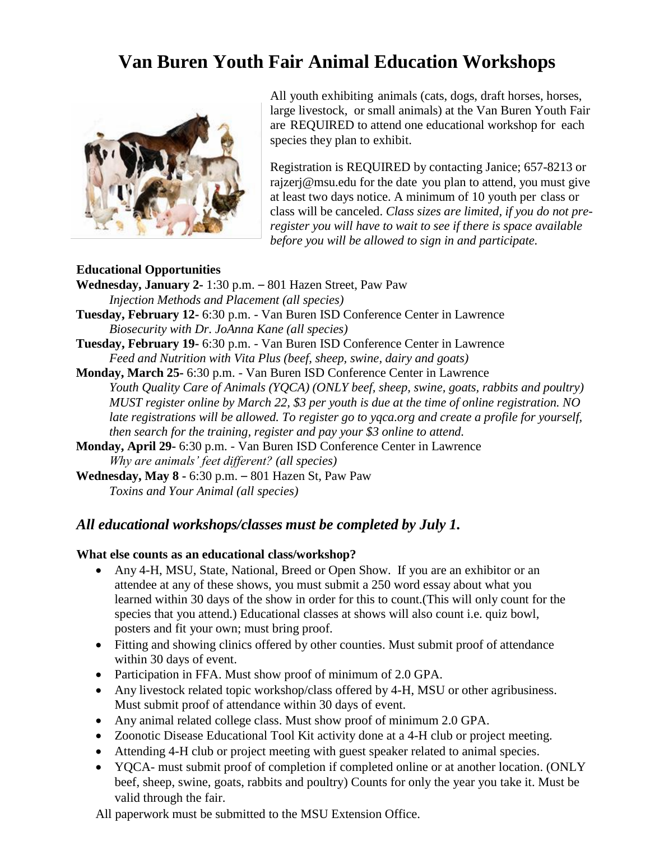## **Van Buren Youth Fair Animal Education Workshops**



All youth exhibiting animals (cats, dogs, draft horses, horses, large livestock, or small animals) at the Van Buren Youth Fair are REQUIRED to attend one educational workshop for each species they plan to exhibit.

Registration is REQUIRED by contacting Janice; 657-8213 or rajzerj@msu.edu for the date you plan to attend, you must give at least two days notice. A minimum of 10 youth per class or class will be canceled. *Class sizes are limited, if you do not preregister you will have to wait to see if there is space available before you will be allowed to sign in and participate.*

## **Educational Opportunities**

**Wednesday, January 2-** 1:30 p.m. – 801 Hazen Street, Paw Paw *Injection Methods and Placement (all species)* **Tuesday, February 12-** 6:30 p.m. - Van Buren ISD Conference Center in Lawrence *Biosecurity with Dr. JoAnna Kane (all species)* **Tuesday, February 19-** 6:30 p.m. - Van Buren ISD Conference Center in Lawrence *Feed and Nutrition with Vita Plus (beef, sheep, swine, dairy and goats)*

**Monday, March 25-** 6:30 p.m. - Van Buren ISD Conference Center in Lawrence *Youth Quality Care of Animals (YQCA) (ONLY beef, sheep, swine, goats, rabbits and poultry) MUST register online by March 22, \$3 per youth is due at the time of online registration. NO late registrations will be allowed. To register go to yqca.org and create a profile for yourself, then search for the training, register and pay your \$3 online to attend.*

**Monday, April 29-** 6:30 p.m. - Van Buren ISD Conference Center in Lawrence *Why are animals' feet different? (all species)*

**Wednesday, May 8 -** 6:30 p.m. – 801 Hazen St, Paw Paw *Toxins and Your Animal (all species)*

## *All educational workshops/classes must be completed by July 1.*

## **What else counts as an educational class/workshop?**

- Any 4-H, MSU, State, National, Breed or Open Show. If you are an exhibitor or an attendee at any of these shows, you must submit a 250 word essay about what you learned within 30 days of the show in order for this to count.(This will only count for the species that you attend.) Educational classes at shows will also count i.e. quiz bowl, posters and fit your own; must bring proof.
- Fitting and showing clinics offered by other counties. Must submit proof of attendance within 30 days of event.
- Participation in FFA. Must show proof of minimum of 2.0 GPA.
- Any livestock related topic workshop/class offered by 4-H, MSU or other agribusiness. Must submit proof of attendance within 30 days of event.
- Any animal related college class. Must show proof of minimum 2.0 GPA.
- Zoonotic Disease Educational Tool Kit activity done at a 4-H club or project meeting.
- Attending 4-H club or project meeting with guest speaker related to animal species.
- YQCA- must submit proof of completion if completed online or at another location. (ONLY beef, sheep, swine, goats, rabbits and poultry) Counts for only the year you take it. Must be valid through the fair.

All paperwork must be submitted to the MSU Extension Office.